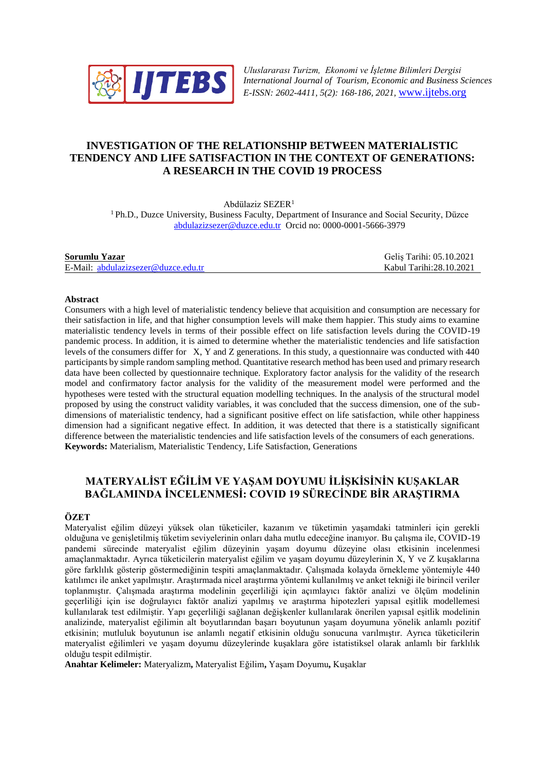

*Uluslararası Turizm, Ekonomi ve İşletme Bilimleri Dergisi International Journal of Tourism, Economic and Business Sciences E-ISSN: 2602-4411, 5(2): 168-186, 2021,* [www.ijtebs.org](http://www.ijtebs.org/)

# **INVESTIGATION OF THE RELATIONSHIP BETWEEN MATERIALISTIC TENDENCY AND LIFE SATISFACTION IN THE CONTEXT OF GENERATIONS: A RESEARCH IN THE COVID 19 PROCESS**

Abdülaziz SEZER<sup>1</sup>

<sup>1</sup> Ph.D., Duzce University, Business Faculty, Department of Insurance and Social Security, Düzce [abdulazizsezer@duzce.edu.tr](mailto:abdulazizsezer@duzce.edu.tr) Orcid no: 0000-0001-5666-3979

| Sorumlu Yazar                       | Gelis Tarihi: 05.10.2021 |
|-------------------------------------|--------------------------|
| E-Mail: abdulazizsezer@duzce.edu.tr | Kabul Tarihi:28.10.2021  |

#### **Abstract**

Consumers with a high level of materialistic tendency believe that acquisition and consumption are necessary for their satisfaction in life, and that higher consumption levels will make them happier. This study aims to examine materialistic tendency levels in terms of their possible effect on life satisfaction levels during the COVID-19 pandemic process. In addition, it is aimed to determine whether the materialistic tendencies and life satisfaction levels of the consumers differ for X, Y and Z generations. In this study, a questionnaire was conducted with 440 participants by simple random sampling method. Quantitative research method has been used and primary research data have been collected by questionnaire technique. Exploratory factor analysis for the validity of the research model and confirmatory factor analysis for the validity of the measurement model were performed and the hypotheses were tested with the structural equation modelling techniques. In the analysis of the structural model proposed by using the construct validity variables, it was concluded that the success dimension, one of the subdimensions of materialistic tendency, had a significant positive effect on life satisfaction, while other happiness dimension had a significant negative effect. In addition, it was detected that there is a statistically significant difference between the materialistic tendencies and life satisfaction levels of the consumers of each generations. **Keywords:** Materialism, Materialistic Tendency, Life Satisfaction, Generations

# **MATERYALİST EĞİLİM VE YAŞAM DOYUMU İLİŞKİSİNİN KUŞAKLAR BAĞLAMINDA İNCELENMESİ: COVID 19 SÜRECİNDE BİR ARAŞTIRMA**

#### **ÖZET**

Materyalist eğilim düzeyi yüksek olan tüketiciler, kazanım ve tüketimin yaşamdaki tatminleri için gerekli olduğuna ve genişletilmiş tüketim seviyelerinin onları daha mutlu edeceğine inanıyor. Bu çalışma ile, COVID-19 pandemi sürecinde materyalist eğilim düzeyinin yaşam doyumu düzeyine olası etkisinin incelenmesi amaçlanmaktadır. Ayrıca tüketicilerin materyalist eğilim ve yaşam doyumu düzeylerinin X, Y ve Z kuşaklarına göre farklılık gösterip göstermediğinin tespiti amaçlanmaktadır. Çalışmada kolayda örnekleme yöntemiyle 440 katılımcı ile anket yapılmıştır. Araştırmada nicel araştırma yöntemi kullanılmış ve anket tekniği ile birincil veriler toplanmıştır. Çalışmada araştırma modelinin geçerliliği için açımlayıcı faktör analizi ve ölçüm modelinin geçerliliği için ise doğrulayıcı faktör analizi yapılmış ve araştırma hipotezleri yapısal eşitlik modellemesi kullanılarak test edilmiştir. Yapı geçerliliği sağlanan değişkenler kullanılarak önerilen yapısal eşitlik modelinin analizinde, materyalist eğilimin alt boyutlarından başarı boyutunun yaşam doyumuna yönelik anlamlı pozitif etkisinin; mutluluk boyutunun ise anlamlı negatif etkisinin olduğu sonucuna varılmıştır. Ayrıca tüketicilerin materyalist eğilimleri ve yaşam doyumu düzeylerinde kuşaklara göre istatistiksel olarak anlamlı bir farklılık olduğu tespit edilmiştir.

**Anahtar Kelimeler:** Materyalizm**,** Materyalist Eğilim**,** Yaşam Doyumu**,** Kuşaklar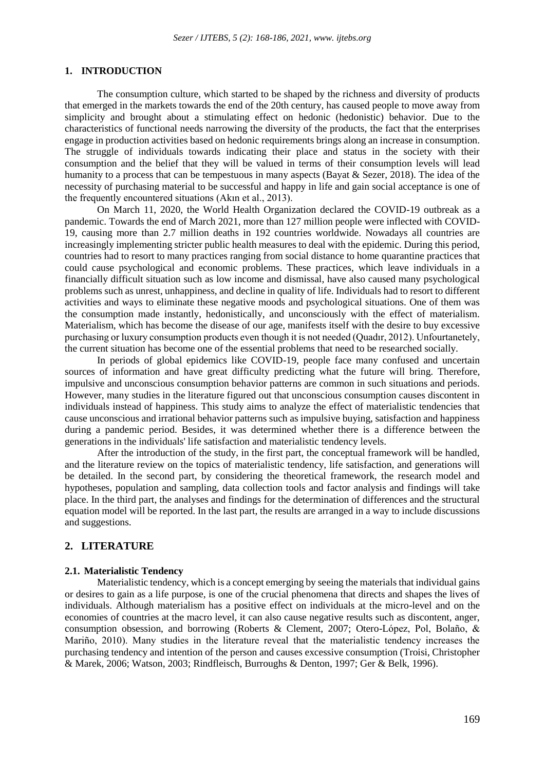# **1. INTRODUCTION**

The consumption culture, which started to be shaped by the richness and diversity of products that emerged in the markets towards the end of the 20th century, has caused people to move away from simplicity and brought about a stimulating effect on hedonic (hedonistic) behavior. Due to the characteristics of functional needs narrowing the diversity of the products, the fact that the enterprises engage in production activities based on hedonic requirements brings along an increase in consumption. The struggle of individuals towards indicating their place and status in the society with their consumption and the belief that they will be valued in terms of their consumption levels will lead humanity to a process that can be tempestuous in many aspects (Bayat & Sezer, 2018). The idea of the necessity of purchasing material to be successful and happy in life and gain social acceptance is one of the frequently encountered situations (Akın et al., 2013).

On March 11, 2020, the World Health Organization declared the COVID-19 outbreak as a pandemic. Towards the end of March 2021, more than 127 million people were inflected with COVID-19, causing more than 2.7 million deaths in 192 countries worldwide. Nowadays all countries are increasingly implementing stricter public health measures to deal with the epidemic. During this period, countries had to resort to many practices ranging from social distance to home quarantine practices that could cause psychological and economic problems. These practices, which leave individuals in a financially difficult situation such as low income and dismissal, have also caused many psychological problems such as unrest, unhappiness, and decline in quality of life. Individuals had to resort to different activities and ways to eliminate these negative moods and psychological situations. One of them was the consumption made instantly, hedonistically, and unconsciously with the effect of materialism. Materialism, which has become the disease of our age, manifests itself with the desire to buy excessive purchasing or luxury consumption products even though it is not needed (Quadır, 2012). Unfourtanetely, the current situation has become one of the essential problems that need to be researched socially.

In periods of global epidemics like COVID-19, people face many confused and uncertain sources of information and have great difficulty predicting what the future will bring. Therefore, impulsive and unconscious consumption behavior patterns are common in such situations and periods. However, many studies in the literature figured out that unconscious consumption causes discontent in individuals instead of happiness. This study aims to analyze the effect of materialistic tendencies that cause unconscious and irrational behavior patterns such as impulsive buying, satisfaction and happiness during a pandemic period. Besides, it was determined whether there is a difference between the generations in the individuals' life satisfaction and materialistic tendency levels.

After the introduction of the study, in the first part, the conceptual framework will be handled, and the literature review on the topics of materialistic tendency, life satisfaction, and generations will be detailed. In the second part, by considering the theoretical framework, the research model and hypotheses, population and sampling, data collection tools and factor analysis and findings will take place. In the third part, the analyses and findings for the determination of differences and the structural equation model will be reported. In the last part, the results are arranged in a way to include discussions and suggestions.

# **2. LITERATURE**

#### **2.1. Materialistic Tendency**

Materialistic tendency, which is a concept emerging by seeing the materials that individual gains or desires to gain as a life purpose, is one of the crucial phenomena that directs and shapes the lives of individuals. Although materialism has a positive effect on individuals at the micro-level and on the economies of countries at the macro level, it can also cause negative results such as discontent, anger, consumption obsession, and borrowing (Roberts & Clement, 2007; Otero-López, Pol, Bolaño, & Mariño, 2010). Many studies in the literature reveal that the materialistic tendency increases the purchasing tendency and intention of the person and causes excessive consumption (Troisi, Christopher & Marek, 2006; Watson, 2003; Rindfleisch, Burroughs & Denton, 1997; Ger & Belk, 1996).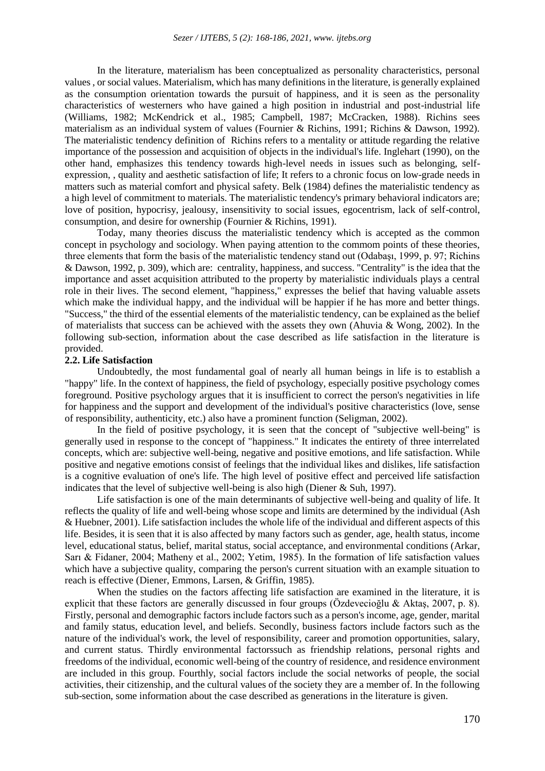In the literature, materialism has been conceptualized as personality characteristics, personal values , or social values. Materialism, which has many definitions in the literature, is generally explained as the consumption orientation towards the pursuit of happiness, and it is seen as the personality characteristics of westerners who have gained a high position in industrial and post-industrial life (Williams, 1982; McKendrick et al., 1985; Campbell, 1987; McCracken, 1988). Richins sees materialism as an individual system of values (Fournier & Richins, 1991; Richins & Dawson, 1992). The materialistic tendency definition of Richins refers to a mentality or attitude regarding the relative importance of the possession and acquisition of objects in the individual's life. Inglehart (1990), on the other hand, emphasizes this tendency towards high-level needs in issues such as belonging, selfexpression, , quality and aesthetic satisfaction of life; It refers to a chronic focus on low-grade needs in matters such as material comfort and physical safety. Belk (1984) defines the materialistic tendency as a high level of commitment to materials. The materialistic tendency's primary behavioral indicators are; love of position, hypocrisy, jealousy, insensitivity to social issues, egocentrism, lack of self-control, consumption, and desire for ownership (Fournier & Richins, 1991).

Today, many theories discuss the materialistic tendency which is accepted as the common concept in psychology and sociology. When paying attention to the commom points of these theories, three elements that form the basis of the materialistic tendency stand out (Odabaşı, 1999, p. 97; Richins & Dawson, 1992, p. 309), which are: centrality, happiness, and success. "Centrality" is the idea that the importance and asset acquisition attributed to the property by materialistic individuals plays a central role in their lives. The second element, "happiness," expresses the belief that having valuable assets which make the individual happy, and the individual will be happier if he has more and better things. "Success," the third of the essential elements of the materialistic tendency, can be explained as the belief of materialists that success can be achieved with the assets they own (Ahuvia & Wong, 2002). In the following sub-section, information about the case described as life satisfaction in the literature is provided.

### **2.2. Life Satisfaction**

Undoubtedly, the most fundamental goal of nearly all human beings in life is to establish a "happy" life. In the context of happiness, the field of psychology, especially positive psychology comes foreground. Positive psychology argues that it is insufficient to correct the person's negativities in life for happiness and the support and development of the individual's positive characteristics (love, sense of responsibility, authenticity, etc.) also have a prominent function (Seligman, 2002).

In the field of positive psychology, it is seen that the concept of "subjective well-being" is generally used in response to the concept of "happiness." It indicates the entirety of three interrelated concepts, which are: subjective well-being, negative and positive emotions, and life satisfaction. While positive and negative emotions consist of feelings that the individual likes and dislikes, life satisfaction is a cognitive evaluation of one's life. The high level of positive effect and perceived life satisfaction indicates that the level of subjective well-being is also high (Diener & Suh, 1997).

Life satisfaction is one of the main determinants of subjective well-being and quality of life. It reflects the quality of life and well-being whose scope and limits are determined by the individual (Ash & Huebner, 2001). Life satisfaction includes the whole life of the individual and different aspects of this life. Besides, it is seen that it is also affected by many factors such as gender, age, health status, income level, educational status, belief, marital status, social acceptance, and environmental conditions (Arkar, Sarı & Fidaner, 2004; Matheny et al., 2002; Yetim, 1985). In the formation of life satisfaction values which have a subjective quality, comparing the person's current situation with an example situation to reach is effective (Diener, Emmons, Larsen, & Griffin, 1985).

When the studies on the factors affecting life satisfaction are examined in the literature, it is explicit that these factors are generally discussed in four groups (Özdevecioğlu & Aktaş, 2007, p. 8). Firstly, personal and demographic factors include factors such as a person's income, age, gender, marital and family status, education level, and beliefs. Secondly, business factors include factors such as the nature of the individual's work, the level of responsibility, career and promotion opportunities, salary, and current status. Thirdly environmental factorssuch as friendship relations, personal rights and freedoms of the individual, economic well-being of the country of residence, and residence environment are included in this group. Fourthly, social factors include the social networks of people, the social activities, their citizenship, and the cultural values of the society they are a member of. In the following sub-section, some information about the case described as generations in the literature is given.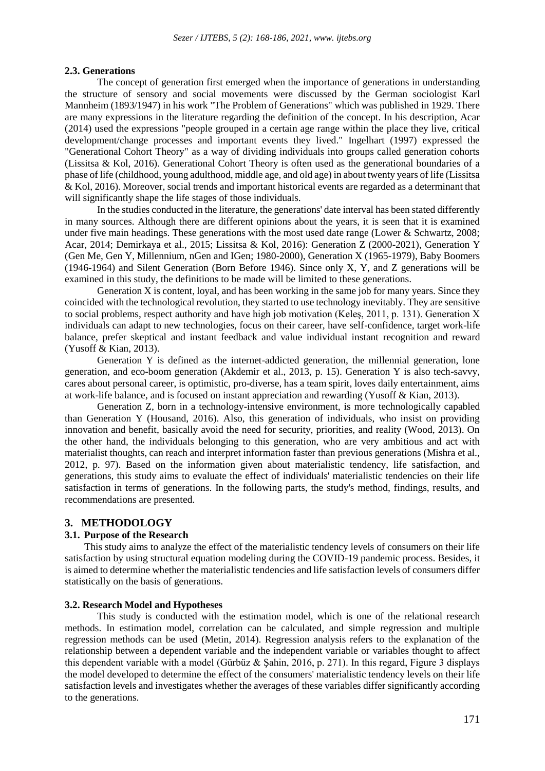#### **2.3. Generations**

The concept of generation first emerged when the importance of generations in understanding the structure of sensory and social movements were discussed by the German sociologist Karl Mannheim (1893/1947) in his work "The Problem of Generations" which was published in 1929. There are many expressions in the literature regarding the definition of the concept. In his description, Acar (2014) used the expressions "people grouped in a certain age range within the place they live, critical development/change processes and important events they lived." Ingelhart (1997) expressed the "Generational Cohort Theory" as a way of dividing individuals into groups called generation cohorts (Lissitsa & Kol, 2016). Generational Cohort Theory is often used as the generational boundaries of a phase of life (childhood, young adulthood, middle age, and old age) in about twenty years of life (Lissitsa & Kol, 2016). Moreover, social trends and important historical events are regarded as a determinant that will significantly shape the life stages of those individuals.

In the studies conducted in the literature, the generations' date interval has been stated differently in many sources. Although there are different opinions about the years, it is seen that it is examined under five main headings. These generations with the most used date range (Lower & Schwartz, 2008; Acar, 2014; Demirkaya et al., 2015; Lissitsa & Kol, 2016): Generation Z (2000-2021), Generation Y (Gen Me, Gen Y, Millennium, nGen and IGen; 1980-2000), Generation X (1965-1979), Baby Boomers (1946-1964) and Silent Generation (Born Before 1946). Since only X, Y, and Z generations will be examined in this study, the definitions to be made will be limited to these generations.

Generation X is content, loyal, and has been working in the same job for many years. Since they coincided with the technological revolution, they started to use technology inevitably. They are sensitive to social problems, respect authority and have high job motivation (Keleş, 2011, p. 131). Generation X individuals can adapt to new technologies, focus on their career, have self-confidence, target work-life balance, prefer skeptical and instant feedback and value individual instant recognition and reward (Yusoff & Kian, 2013).

Generation Y is defined as the internet-addicted generation, the millennial generation, lone generation, and eco-boom generation (Akdemir et al., 2013, p. 15). Generation Y is also tech-savvy, cares about personal career, is optimistic, pro-diverse, has a team spirit, loves daily entertainment, aims at work-life balance, and is focused on instant appreciation and rewarding (Yusoff & Kian, 2013).

Generation Z, born in a technology-intensive environment, is more technologically capabled than Generation Y (Housand, 2016). Also, this generation of individuals, who insist on providing innovation and benefit, basically avoid the need for security, priorities, and reality (Wood, 2013). On the other hand, the individuals belonging to this generation, who are very ambitious and act with materialist thoughts, can reach and interpret information faster than previous generations (Mishra et al., 2012, p. 97). Based on the information given about materialistic tendency, life satisfaction, and generations, this study aims to evaluate the effect of individuals' materialistic tendencies on their life satisfaction in terms of generations. In the following parts, the study's method, findings, results, and recommendations are presented.

#### **3. METHODOLOGY**

## **3.1. Purpose of the Research**

This study aims to analyze the effect of the materialistic tendency levels of consumers on their life satisfaction by using structural equation modeling during the COVID-19 pandemic process. Besides, it is aimed to determine whether the materialistic tendencies and life satisfaction levels of consumers differ statistically on the basis of generations.

#### **3.2. Research Model and Hypotheses**

This study is conducted with the estimation model, which is one of the relational research methods. In estimation model, correlation can be calculated, and simple regression and multiple regression methods can be used (Metin, 2014). Regression analysis refers to the explanation of the relationship between a dependent variable and the independent variable or variables thought to affect this dependent variable with a model (Gürbüz & Şahin, 2016, p. 271). In this regard, Figure 3 displays the model developed to determine the effect of the consumers' materialistic tendency levels on their life satisfaction levels and investigates whether the averages of these variables differ significantly according to the generations.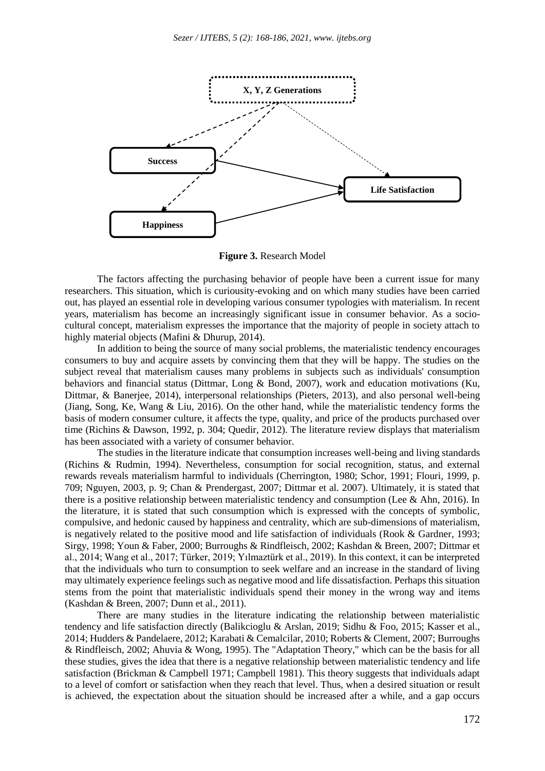

**Figure 3.** Research Model

The factors affecting the purchasing behavior of people have been a current issue for many researchers. This situation, which is curiousity-evoking and on which many studies have been carried out, has played an essential role in developing various consumer typologies with materialism. In recent years, materialism has become an increasingly significant issue in consumer behavior. As a sociocultural concept, materialism expresses the importance that the majority of people in society attach to highly material objects (Mafini & Dhurup, 2014).

In addition to being the source of many social problems, the materialistic tendency encourages consumers to buy and acquire assets by convincing them that they will be happy. The studies on the subject reveal that materialism causes many problems in subjects such as individuals' consumption behaviors and financial status (Dittmar, Long & Bond, 2007), work and education motivations (Ku, Dittmar, & Banerjee, 2014), interpersonal relationships (Pieters, 2013), and also personal well-being (Jiang, Song, Ke, Wang & Liu, 2016). On the other hand, while the materialistic tendency forms the basis of modern consumer culture, it affects the type, quality, and price of the products purchased over time (Richins & Dawson, 1992, p. 304; Quedir, 2012). The literature review displays that materialism has been associated with a variety of consumer behavior.

The studies in the literature indicate that consumption increases well-being and living standards (Richins & Rudmin, 1994). Nevertheless, consumption for social recognition, status, and external rewards reveals materialism harmful to individuals (Cherrington, 1980; Schor, 1991; Flouri, 1999, p. 709; Nguyen, 2003, p. 9; Chan & Prendergast, 2007; Dittmar et al. 2007). Ultimately, it is stated that there is a positive relationship between materialistic tendency and consumption (Lee & Ahn, 2016). In the literature, it is stated that such consumption which is expressed with the concepts of symbolic, compulsive, and hedonic caused by happiness and centrality, which are sub-dimensions of materialism, is negatively related to the positive mood and life satisfaction of individuals (Rook & Gardner, 1993; Sirgy, 1998; Youn & Faber, 2000; Burroughs & Rindfleisch, 2002; Kashdan & Breen, 2007; Dittmar et al., 2014; Wang et al., 2017; Türker, 2019; Yılmaztürk et al., 2019). In this context, it can be interpreted that the individuals who turn to consumption to seek welfare and an increase in the standard of living may ultimately experience feelings such as negative mood and life dissatisfaction. Perhaps this situation stems from the point that materialistic individuals spend their money in the wrong way and items (Kashdan & Breen, 2007; Dunn et al., 2011).

There are many studies in the literature indicating the relationship between materialistic tendency and life satisfaction directly (Balikcioglu & Arslan, 2019; Sidhu & Foo, 2015; Kasser et al., 2014; Hudders & Pandelaere, 2012; Karabati & Cemalcilar, 2010; Roberts & Clement, 2007; Burroughs & Rindfleisch, 2002; Ahuvia & Wong, 1995). The "Adaptation Theory," which can be the basis for all these studies, gives the idea that there is a negative relationship between materialistic tendency and life satisfaction (Brickman & Campbell 1971; Campbell 1981). This theory suggests that individuals adapt to a level of comfort or satisfaction when they reach that level. Thus, when a desired situation or result is achieved, the expectation about the situation should be increased after a while, and a gap occurs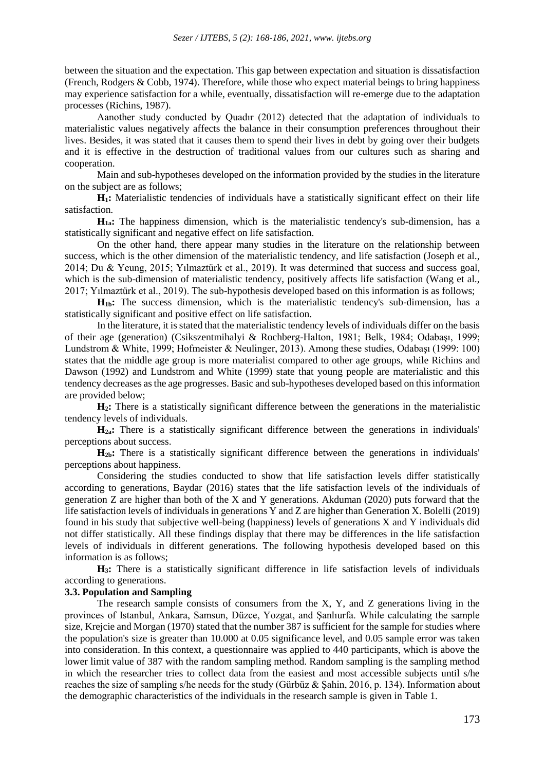between the situation and the expectation. This gap between expectation and situation is dissatisfaction (French, Rodgers  $& Cobb$ , 1974). Therefore, while those who expect material beings to bring happiness may experience satisfaction for a while, eventually, dissatisfaction will re-emerge due to the adaptation processes (Richins, 1987).

Aanother study conducted by Quadır (2012) detected that the adaptation of individuals to materialistic values negatively affects the balance in their consumption preferences throughout their lives. Besides, it was stated that it causes them to spend their lives in debt by going over their budgets and it is effective in the destruction of traditional values from our cultures such as sharing and cooperation.

Main and sub-hypotheses developed on the information provided by the studies in the literature on the subject are as follows;

**H1:** Materialistic tendencies of individuals have a statistically significant effect on their life satisfaction.

**H1a:** The happiness dimension, which is the materialistic tendency's sub-dimension, has a statistically significant and negative effect on life satisfaction.

On the other hand, there appear many studies in the literature on the relationship between success, which is the other dimension of the materialistic tendency, and life satisfaction (Joseph et al., 2014; Du & Yeung, 2015; Yılmaztürk et al., 2019). It was determined that success and success goal, which is the sub-dimension of materialistic tendency, positively affects life satisfaction (Wang et al., 2017; Yılmaztürk et al., 2019). The sub-hypothesis developed based on this information is as follows;

**H1b:** The success dimension, which is the materialistic tendency's sub-dimension, has a statistically significant and positive effect on life satisfaction.

In the literature, it is stated that the materialistic tendency levels of individuals differ on the basis of their age (generation) (Csikszentmihalyi & Rochberg-Halton, 1981; Belk, 1984; Odabaşı, 1999; Lundstrom & White, 1999; Hofmeister & Neulinger, 2013). Among these studies, Odabaşı (1999: 100) states that the middle age group is more materialist compared to other age groups, while Richins and Dawson (1992) and Lundstrom and White (1999) state that young people are materialistic and this tendency decreases as the age progresses. Basic and sub-hypotheses developed based on this information are provided below;

**H2:** There is a statistically significant difference between the generations in the materialistic tendency levels of individuals.

**H2a:** There is a statistically significant difference between the generations in individuals' perceptions about success.

H<sub>2b</sub>: There is a statistically significant difference between the generations in individuals' perceptions about happiness.

Considering the studies conducted to show that life satisfaction levels differ statistically according to generations, Baydar (2016) states that the life satisfaction levels of the individuals of generation Z are higher than both of the X and Y generations. Akduman (2020) puts forward that the life satisfaction levels of individuals in generations Y and Z are higher than Generation X. Bolelli (2019) found in his study that subjective well-being (happiness) levels of generations X and Y individuals did not differ statistically. All these findings display that there may be differences in the life satisfaction levels of individuals in different generations. The following hypothesis developed based on this information is as follows;

**H3:** There is a statistically significant difference in life satisfaction levels of individuals according to generations.

# **3.3. Population and Sampling**

The research sample consists of consumers from the  $X$ ,  $Y$ , and  $Z$  generations living in the provinces of Istanbul, Ankara, Samsun, Düzce, Yozgat, and Şanlıurfa. While calculating the sample size, Krejcie and Morgan (1970) stated that the number 387 is sufficient for the sample for studies where the population's size is greater than 10.000 at 0.05 significance level, and 0.05 sample error was taken into consideration. In this context, a questionnaire was applied to 440 participants, which is above the lower limit value of 387 with the random sampling method. Random sampling is the sampling method in which the researcher tries to collect data from the easiest and most accessible subjects until s/he reaches the size of sampling s/he needs for the study (Gürbüz & Şahin, 2016, p. 134). Information about the demographic characteristics of the individuals in the research sample is given in Table 1.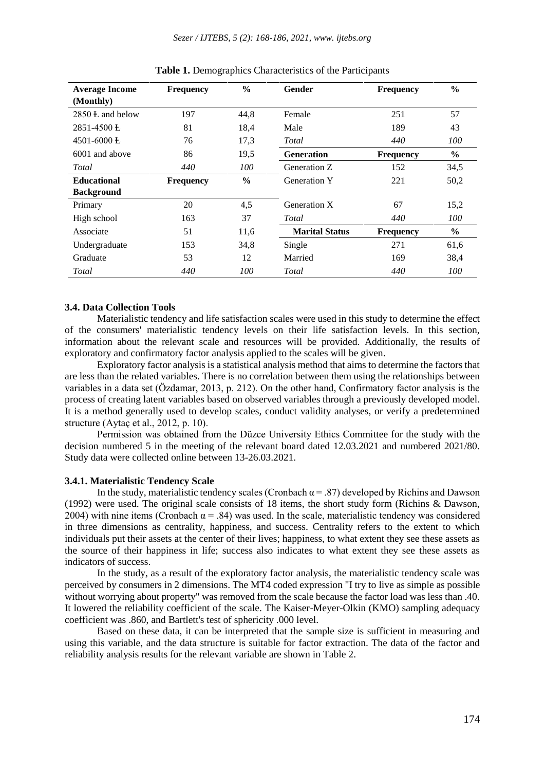| <b>Average Income</b><br>(Monthly) | <b>Frequency</b> | $\frac{0}{0}$ | Gender                | <b>Frequency</b> | $\frac{6}{6}$ |
|------------------------------------|------------------|---------------|-----------------------|------------------|---------------|
| $2850$ L and below                 | 197              | 44,8          | Female                | 251              | 57            |
| $2851 - 4500$ E                    | 81               | 18,4          | Male                  | 189              | 43            |
| 4501-6000 $E$                      | 76               | 17,3          | Total                 | 440              | 100           |
| 6001 and above                     | 86               | 19,5          | <b>Generation</b>     | <b>Frequency</b> | $\frac{6}{6}$ |
| Total                              | 440              | 100           | Generation Z          | 152              | 34,5          |
| <b>Educational</b>                 | <b>Frequency</b> | $\frac{0}{0}$ | <b>Generation Y</b>   | 221              | 50,2          |
| <b>Background</b>                  |                  |               |                       |                  |               |
| Primary                            | 20               | 4,5           | Generation X          | 67               | 15,2          |
| High school                        | 163              | 37            | Total                 | 440              | 100           |
| Associate                          | 51               | 11,6          | <b>Marital Status</b> | <b>Frequency</b> | $\frac{6}{9}$ |
| Undergraduate                      | 153              | 34,8          | Single                | 271              | 61,6          |
| Graduate                           | 53               | 12            | Married               | 169              | 38,4          |
| Total                              | 440              | 100           | Total                 | 440              | 100           |

**Table 1.** Demographics Characteristics of the Participants

## **3.4. Data Collection Tools**

Materialistic tendency and life satisfaction scales were used in this study to determine the effect of the consumers' materialistic tendency levels on their life satisfaction levels. In this section, information about the relevant scale and resources will be provided. Additionally, the results of exploratory and confirmatory factor analysis applied to the scales will be given.

Exploratory factor analysis is a statistical analysis method that aims to determine the factors that are less than the related variables. There is no correlation between them using the relationships between variables in a data set (Özdamar, 2013, p. 212). On the other hand, Confirmatory factor analysis is the process of creating latent variables based on observed variables through a previously developed model. It is a method generally used to develop scales, conduct validity analyses, or verify a predetermined structure (Aytaç et al., 2012, p. 10).

Permission was obtained from the Düzce University Ethics Committee for the study with the decision numbered 5 in the meeting of the relevant board dated 12.03.2021 and numbered 2021/80. Study data were collected online between 13-26.03.2021.

#### **3.4.1. Materialistic Tendency Scale**

In the study, materialistic tendency scales (Cronbach  $\alpha$  = .87) developed by Richins and Dawson (1992) were used. The original scale consists of 18 items, the short study form (Richins & Dawson, 2004) with nine items (Cronbach  $\alpha$  = .84) was used. In the scale, materialistic tendency was considered in three dimensions as centrality, happiness, and success. Centrality refers to the extent to which individuals put their assets at the center of their lives; happiness, to what extent they see these assets as the source of their happiness in life; success also indicates to what extent they see these assets as indicators of success.

In the study, as a result of the exploratory factor analysis, the materialistic tendency scale was perceived by consumers in 2 dimensions. The MT4 coded expression "I try to live as simple as possible without worrying about property" was removed from the scale because the factor load was less than .40. It lowered the reliability coefficient of the scale. The Kaiser-Meyer-Olkin (KMO) sampling adequacy coefficient was .860, and Bartlett's test of sphericity .000 level.

Based on these data, it can be interpreted that the sample size is sufficient in measuring and using this variable, and the data structure is suitable for factor extraction. The data of the factor and reliability analysis results for the relevant variable are shown in Table 2.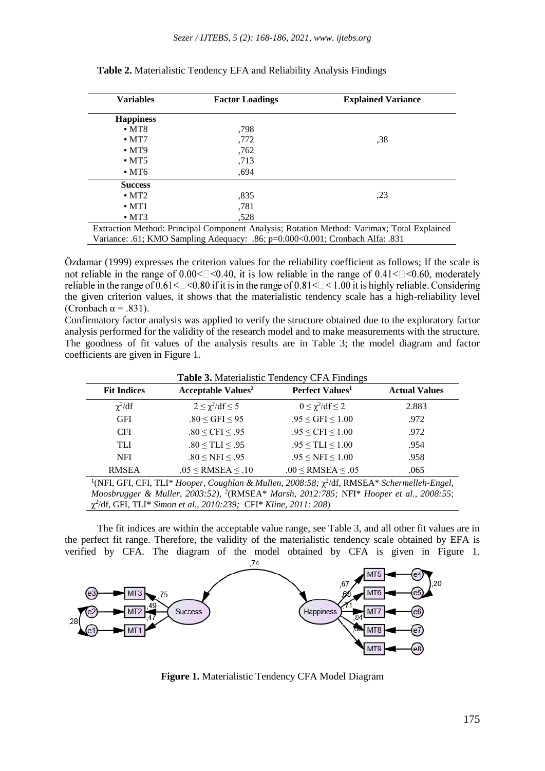| <b>Variables</b>   | <b>Factor Loadings</b> | <b>Explained Variance</b>                                                                  |
|--------------------|------------------------|--------------------------------------------------------------------------------------------|
| <b>Happiness</b>   |                        |                                                                                            |
| $-MT8$             | ,798                   |                                                                                            |
| $-MT7$             | ,772                   | ,38                                                                                        |
| $-MT9$             | ,762                   |                                                                                            |
| $\blacksquare$ MT5 | ,713                   |                                                                                            |
| $\blacksquare$ MT6 | ,694                   |                                                                                            |
| <b>Success</b>     |                        |                                                                                            |
| $-MT2$             | ,835                   | ,23                                                                                        |
| $-MT1$             | ,781                   |                                                                                            |
| $-MT3$             | .528                   |                                                                                            |
|                    |                        | Extraction Method: Principal Component Analysis; Rotation Method: Varimax; Total Explained |

**Table 2.** Materialistic Tendency EFA and Reliability Analysis Findings

Extraction Method: Principal Component Analysis; Rotation Method: Varimax; Total Explained Variance: .61; KMO Sampling Adequacy: .86; p=0.000<0.001; Cronbach Alfa: .831

Özdamar (1999) expresses the criterion values for the reliability coefficient as follows; If the scale is not reliable in the range of  $0.00<\degree$  <0.40, it is low reliable in the range of 0.41 $<\degree$  <0.60, moderately reliable in the range of  $0.61 \leq l \leq 0.80$  if it is in the range of  $0.81 \leq l \leq 1.00$  it is highly reliable. Considering the given criterion values, it shows that the materialistic tendency scale has a high-reliability level (Cronbach  $\alpha$  = .831).

Confirmatory factor analysis was applied to verify the structure obtained due to the exploratory factor analysis performed for the validity of the research model and to make measurements with the structure. The goodness of fit values of the analysis results are in Table 3; the model diagram and factor coefficients are given in Figure 1.

| <b>Table 3. Materialistic Tendency CFA Findings</b> |                                                                                                               |                                    |       |  |  |
|-----------------------------------------------------|---------------------------------------------------------------------------------------------------------------|------------------------------------|-------|--|--|
| <b>Fit Indices</b>                                  | <b>Acceptable Values<sup>2</sup></b><br>Perfect Values <sup>1</sup>                                           |                                    |       |  |  |
| $\chi^2/df$                                         | $2 \leq \chi^2/\mathrm{df} \leq 5$                                                                            | $0 \leq \chi^2/\mathrm{df} \leq 2$ | 2.883 |  |  |
| <b>GFI</b>                                          | $.80 \leq$ GFI $\leq$ 95                                                                                      | $.95 \leq$ GFI $\leq 1.00$         | .972  |  |  |
| CFI.                                                | $.80 \leq CFI \leq .95$                                                                                       | $.95 \leq CFI \leq 1.00$           | .972  |  |  |
| TLI                                                 | $.80 \leq TLI \leq .95$                                                                                       | $.95 \leq TLI \leq 1.00$           | .954  |  |  |
| <b>NFI</b>                                          | $.80 \leq NFI \leq .95$                                                                                       | $.95 \leq NFI \leq 1.00$           | .958  |  |  |
| <b>RMSEA</b>                                        | $.05 \leq$ RMSEA $\leq .10$                                                                                   | $.00 \leq$ RMSEA $\leq .05$        | .065  |  |  |
|                                                     | <sup>1</sup> (NFI, GFI, CFI, TLI* Hooper, Coughlan & Mullen, 2008:58; $\chi^2$ /df, RMSEA* Schermelleh-Engel, |                                    |       |  |  |
|                                                     | Mooshrugger & Muller, 2003:52), <sup>2</sup> (RMSEA* Marsh, 2012:785: NEI* Hooper et al., 2008:55:            |                                    |       |  |  |

*Moosbrugger & Muller, 2003:52),* <sup>2</sup> (RMSEA\* *Marsh, 2012:785;* NFI\* *Hooper et al., 2008:55*; χ 2 /df, GFI, TLI\* *Simon et al., 2010:239;* CFI\* *Kline, 2011: 208*)

The fit indices are within the acceptable value range, see Table 3, and all other fit values are in the perfect fit range. Therefore, the validity of the materialistic tendency scale obtained by EFA is verified by CFA. The diagram of the model obtained by CFA is given in Figure 1.



**Figure 1.** Materialistic Tendency CFA Model Diagram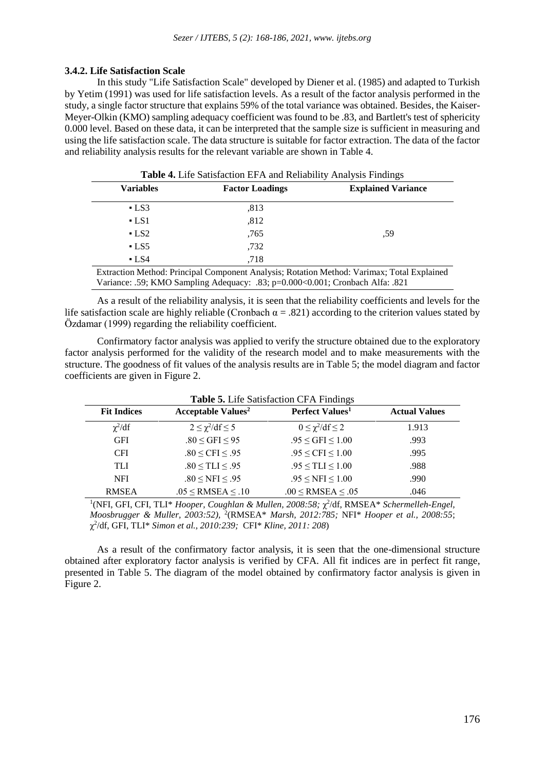# **3.4.2. Life Satisfaction Scale**

In this study "Life Satisfaction Scale" developed by Diener et al. (1985) and adapted to Turkish by Yetim (1991) was used for life satisfaction levels. As a result of the factor analysis performed in the study, a single factor structure that explains 59% of the total variance was obtained. Besides, the Kaiser-Meyer-Olkin (KMO) sampling adequacy coefficient was found to be .83, and Bartlett's test of sphericity 0.000 level. Based on these data, it can be interpreted that the sample size is sufficient in measuring and using the life satisfaction scale. The data structure is suitable for factor extraction. The data of the factor and reliability analysis results for the relevant variable are shown in Table 4.

**Table 4.** Life Satisfaction EFA and Reliability Analysis Findings **Variables Factor Loadings Explained Variance**  $-$  LS3  $.813$ ,59  $-LS1$  ,812  $-$  LS2 ,765  $-$  LS5  $.732$ 

Extraction Method: Principal Component Analysis; Rotation Method: Varimax; Total Explained Variance: .59; KMO Sampling Adequacy: .83; p=0.000<0.001; Cronbach Alfa: .821

• LS4 ,718

As a result of the reliability analysis, it is seen that the reliability coefficients and levels for the life satisfaction scale are highly reliable (Cronbach  $\alpha = .821$ ) according to the criterion values stated by Özdamar (1999) regarding the reliability coefficient.

Confirmatory factor analysis was applied to verify the structure obtained due to the exploratory factor analysis performed for the validity of the research model and to make measurements with the structure. The goodness of fit values of the analysis results are in Table 5; the model diagram and factor coefficients are given in Figure 2.

| <b>Fit Indices</b> | <b>Table 5.</b> Life Satisfaction CFA Findings<br><b>Acceptable Values<sup>2</sup></b><br>Perfect Values <sup>1</sup> |                                    |       |  |  |  |
|--------------------|-----------------------------------------------------------------------------------------------------------------------|------------------------------------|-------|--|--|--|
| $\chi^2/df$        | $2 \leq \chi^2/df \leq 5$                                                                                             | $0 \leq \chi^2/\mathrm{df} \leq 2$ | 1.913 |  |  |  |
| <b>GFI</b>         | $.80 \leq$ GFI $\leq$ 95                                                                                              | $.95 \leq$ GFI $\leq 1.00$         | .993  |  |  |  |
| <b>CFI</b>         | $.80 \leq CFI \leq .95$                                                                                               | $.95 \leq CFI \leq 1.00$           | .995  |  |  |  |
| TLI                | $.80 \leq TLI \leq .95$                                                                                               | $.95 \leq TLI \leq 1.00$           | .988  |  |  |  |
| <b>NFI</b>         | $.80 \leq NFI \leq .95$                                                                                               | $.95 \leq NFI \leq 1.00$           | .990  |  |  |  |
| <b>RMSEA</b>       | $.05 \leq$ RMSEA $\leq .10$                                                                                           | $.00 \leq$ RMSEA $\leq .05$        | .046  |  |  |  |

<sup>1</sup>(NFI, GFI, CFI, TLI\* *Hooper, Coughlan & Mullen, 2008:58; χ<sup>2</sup>/df, RMSEA\* Schermelleh-Engel, Moosbrugger & Muller, 2003:52),* <sup>2</sup> (RMSEA\* *Marsh, 2012:785;* NFI\* *Hooper et al., 2008:55*; χ 2 /df, GFI, TLI\* *Simon et al., 2010:239;* CFI\* *Kline, 2011: 208*)

As a result of the confirmatory factor analysis, it is seen that the one-dimensional structure obtained after exploratory factor analysis is verified by CFA. All fit indices are in perfect fit range, presented in Table 5. The diagram of the model obtained by confirmatory factor analysis is given in Figure 2.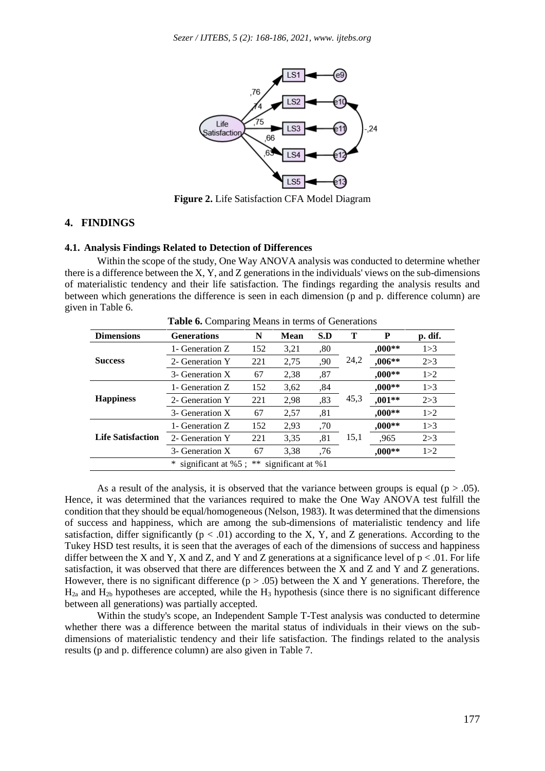

**Figure 2.** Life Satisfaction CFA Model Diagram

## **4. FINDINGS**

# **4.1. Analysis Findings Related to Detection of Differences**

Within the scope of the study, One Way ANOVA analysis was conducted to determine whether there is a difference between the X, Y, and Z generations in the individuals' views on the sub-dimensions of materialistic tendency and their life satisfaction. The findings regarding the analysis results and between which generations the difference is seen in each dimension (p and p. difference column) are given in Table 6.

| <b>Dimensions</b>                                 | <b>Generations</b> | N   | <b>Mean</b> | S.D | Т    | P        | p. dif. |
|---------------------------------------------------|--------------------|-----|-------------|-----|------|----------|---------|
| <b>Success</b>                                    | 1- Generation Z    | 152 | 3,21        | .80 | 24,2 | $.000**$ | 1 > 3   |
|                                                   | 2- Generation Y    | 221 | 2,75        | ,90 |      | ,006**   | 2 > 3   |
|                                                   | 3- Generation X    | 67  | 2,38        | ,87 |      | $000**$  | 1 > 2   |
| <b>Happiness</b>                                  | 1- Generation Z    | 152 | 3,62        | ,84 | 45,3 | $,000**$ | 1 > 3   |
|                                                   | 2- Generation Y    | 221 | 2,98        | ,83 |      | $,001**$ | 2 > 3   |
|                                                   | 3- Generation X    | 67  | 2,57        | ,81 |      | $000**$  | 1 > 2   |
| <b>Life Satisfaction</b>                          | 1- Generation Z    | 152 | 2.93        | .70 | 15,1 | $000**$  | 1 > 3   |
|                                                   | 2- Generation Y    | 221 | 3,35        | ,81 |      | ,965     | 2 > 3   |
|                                                   | 3- Generation X    | 67  | 3,38        | .76 |      | $,000**$ | 1 > 2   |
| significant at %5; $**$<br>∗<br>significant at %1 |                    |     |             |     |      |          |         |

As a result of the analysis, it is observed that the variance between groups is equal ( $p > .05$ ). Hence, it was determined that the variances required to make the One Way ANOVA test fulfill the condition that they should be equal/homogeneous (Nelson, 1983). It was determined that the dimensions of success and happiness, which are among the sub-dimensions of materialistic tendency and life satisfaction, differ significantly ( $p < .01$ ) according to the X, Y, and Z generations. According to the Tukey HSD test results, it is seen that the averages of each of the dimensions of success and happiness differ between the X and Y, X and Z, and Y and Z generations at a significance level of  $p < 0.01$ . For life satisfaction, it was observed that there are differences between the X and Z and Y and Z generations. However, there is no significant difference ( $p > .05$ ) between the X and Y generations. Therefore, the  $H_{2a}$  and  $H_{2b}$  hypotheses are accepted, while the  $H_3$  hypothesis (since there is no significant difference between all generations) was partially accepted.

Within the study's scope, an Independent Sample T-Test analysis was conducted to determine whether there was a difference between the marital status of individuals in their views on the subdimensions of materialistic tendency and their life satisfaction. The findings related to the analysis results (p and p. difference column) are also given in Table 7.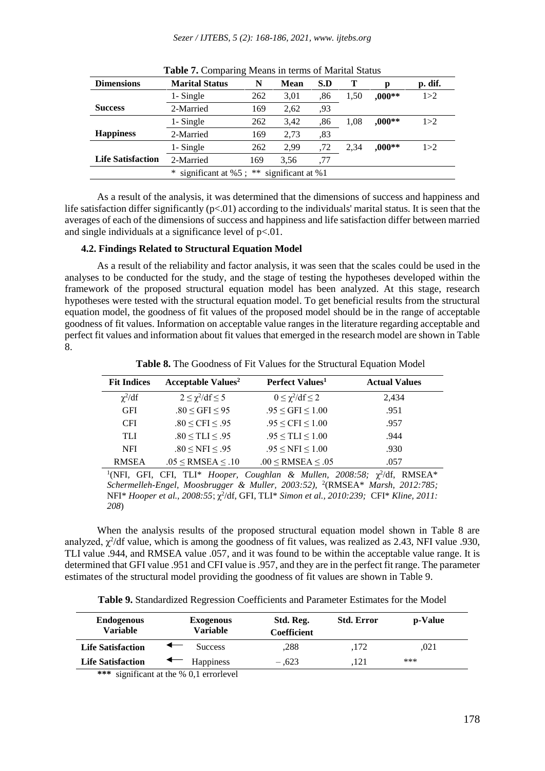| <b>Dimensions</b>                                  | <b>Marital Status</b> | N   | Mean | S.D | Т    | n        | p. dif. |
|----------------------------------------------------|-----------------------|-----|------|-----|------|----------|---------|
|                                                    | 1- Single             | 262 | 3,01 | ,86 | 1.50 | $.000**$ | 1 > 2   |
| <b>Success</b>                                     | 2-Married             | 169 | 2,62 | .93 |      |          |         |
|                                                    | 1- Single             | 262 | 3.42 | .86 | 1.08 | $.000**$ | 1 > 2   |
| <b>Happiness</b>                                   | 2-Married             | 169 | 2,73 | .83 |      |          |         |
|                                                    | 1- Single             | 262 | 2.99 | .72 | 2.34 | $.000**$ | 1 > 2   |
| <b>Life Satisfaction</b>                           | 2-Married             | 169 | 3.56 | ,77 |      |          |         |
| significant at %1<br>significant at %5 : $**$<br>∗ |                       |     |      |     |      |          |         |

**Table 7.** Comparing Means in terms of Marital Status

As a result of the analysis, it was determined that the dimensions of success and happiness and life satisfaction differ significantly ( $p<01$ ) according to the individuals' marital status. It is seen that the averages of each of the dimensions of success and happiness and life satisfaction differ between married and single individuals at a significance level of p<.01.

## **4.2. Findings Related to Structural Equation Model**

As a result of the reliability and factor analysis, it was seen that the scales could be used in the analyses to be conducted for the study, and the stage of testing the hypotheses developed within the framework of the proposed structural equation model has been analyzed. At this stage, research hypotheses were tested with the structural equation model. To get beneficial results from the structural equation model, the goodness of fit values of the proposed model should be in the range of acceptable goodness of fit values. Information on acceptable value ranges in the literature regarding acceptable and perfect fit values and information about fit values that emerged in the research model are shown in Table 8.

**Table 8.** The Goodness of Fit Values for the Structural Equation Model

| <b>Fit Indices</b> | <b>Acceptable Values<sup>2</sup></b> | Perfect Values <sup>1</sup>        | <b>Actual Values</b> |
|--------------------|--------------------------------------|------------------------------------|----------------------|
| $\chi^2/df$        | $2 \leq \chi^2/\mathrm{df} \leq 5$   | $0 \leq \chi^2/\mathrm{df} \leq 2$ | 2,434                |
| <b>GFI</b>         | $.80 \leq$ GFI $\leq$ 95             | $.95 \leq$ GFI $\leq 1.00$         | .951                 |
| <b>CFI</b>         | .80 < CFI < .95                      | $.95 \leq CFI \leq 1.00$           | .957                 |
| TLI.               | $.80 \leq TLI \leq .95$              | $.95 \leq TLI \leq 1.00$           | .944                 |
| <b>NFI</b>         | $.80 \leq NFI \leq .95$              | $.95 \leq NFI \leq 1.00$           | .930                 |
| <b>RMSEA</b>       | $.05 \leq$ RMSEA $\leq .10$          | $.00 \leq$ RMSEA $\leq .05$        | .057                 |

<sup>1</sup>(NFI, GFI, CFI, TLI\* *Hooper, Coughlan & Mullen, 2008:58; χ<sup>2</sup>/df, RMSEA\* Schermelleh-Engel, Moosbrugger & Muller, 2003:52),* <sup>2</sup> (RMSEA\* *Marsh, 2012:785;* NFI\* *Hooper et al., 2008:55; χ<sup>2</sup>/df, GFI, TLI\* Simon et al., 2010:239; CFI\* Kline, 2011: 208*)

When the analysis results of the proposed structural equation model shown in Table 8 are analyzed,  $\chi^2$ /df value, which is among the goodness of fit values, was realized as 2.43, NFI value .930, TLI value .944, and RMSEA value .057, and it was found to be within the acceptable value range. It is determined that GFI value .951 and CFI value is .957, and they are in the perfect fit range. The parameter estimates of the structural model providing the goodness of fit values are shown in Table 9.

**Table 9.** Standardized Regression Coefficients and Parameter Estimates for the Model

| <b>Endogenous</b><br><b>Variable</b> | <b>Exogenous</b><br>Variable | Std. Reg.<br><b>Coefficient</b> | <b>Std. Error</b> | p-Value |  |
|--------------------------------------|------------------------------|---------------------------------|-------------------|---------|--|
| <b>Life Satisfaction</b>             | <b>Success</b>               | .288                            | .172              | .021    |  |
| <b>Life Satisfaction</b>             | Happiness                    | $-.623$                         | .121              | ***     |  |

**\*\*\*** significant at the % 0,1 errorlevel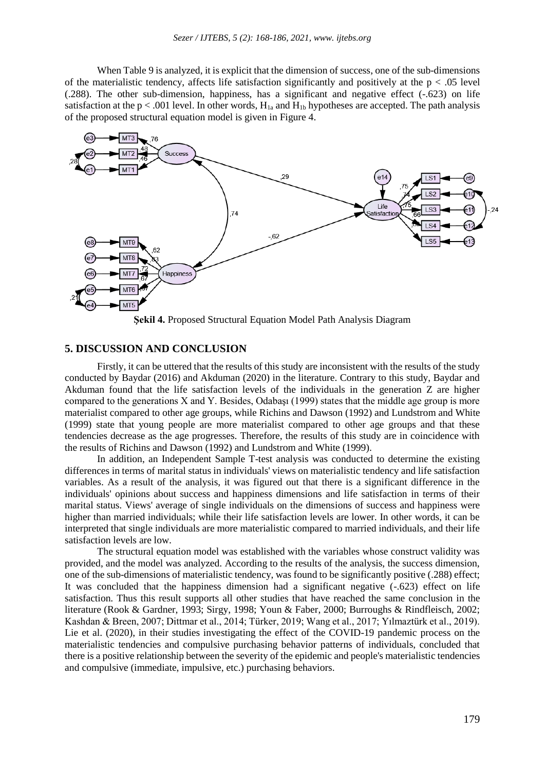When Table 9 is analyzed, it is explicit that the dimension of success, one of the sub-dimensions of the materialistic tendency, affects life satisfaction significantly and positively at the  $p < .05$  level (.288). The other sub-dimension, happiness, has a significant and negative effect (-.623) on life satisfaction at the  $p < .001$  level. In other words,  $H_{1a}$  and  $H_{1b}$  hypotheses are accepted. The path analysis of the proposed structural equation model is given in Figure 4.



**Şekil 4.** Proposed Structural Equation Model Path Analysis Diagram

# **5. DISCUSSION AND CONCLUSION**

Firstly, it can be uttered that the results of this study are inconsistent with the results of the study conducted by Baydar (2016) and Akduman (2020) in the literature. Contrary to this study, Baydar and Akduman found that the life satisfaction levels of the individuals in the generation Z are higher compared to the generations  $X$  and  $Y$ . Besides, Odabasi (1999) states that the middle age group is more materialist compared to other age groups, while Richins and Dawson (1992) and Lundstrom and White (1999) state that young people are more materialist compared to other age groups and that these tendencies decrease as the age progresses. Therefore, the results of this study are in coincidence with the results of Richins and Dawson (1992) and Lundstrom and White (1999).

In addition, an Independent Sample T-test analysis was conducted to determine the existing differences in terms of marital status in individuals' views on materialistic tendency and life satisfaction variables. As a result of the analysis, it was figured out that there is a significant difference in the individuals' opinions about success and happiness dimensions and life satisfaction in terms of their marital status. Views' average of single individuals on the dimensions of success and happiness were higher than married individuals; while their life satisfaction levels are lower. In other words, it can be interpreted that single individuals are more materialistic compared to married individuals, and their life satisfaction levels are low.

The structural equation model was established with the variables whose construct validity was provided, and the model was analyzed. According to the results of the analysis, the success dimension, one of the sub-dimensions of materialistic tendency, was found to be significantly positive (.288) effect; It was concluded that the happiness dimension had a significant negative (-.623) effect on life satisfaction. Thus this result supports all other studies that have reached the same conclusion in the literature (Rook & Gardner, 1993; Sirgy, 1998; Youn & Faber, 2000; Burroughs & Rindfleisch, 2002; Kashdan & Breen, 2007; Dittmar et al., 2014; Türker, 2019; Wang et al., 2017; Yılmaztürk et al., 2019). Lie et al. (2020), in their studies investigating the effect of the COVID-19 pandemic process on the materialistic tendencies and compulsive purchasing behavior patterns of individuals, concluded that there is a positive relationship between the severity of the epidemic and people's materialistic tendencies and compulsive (immediate, impulsive, etc.) purchasing behaviors.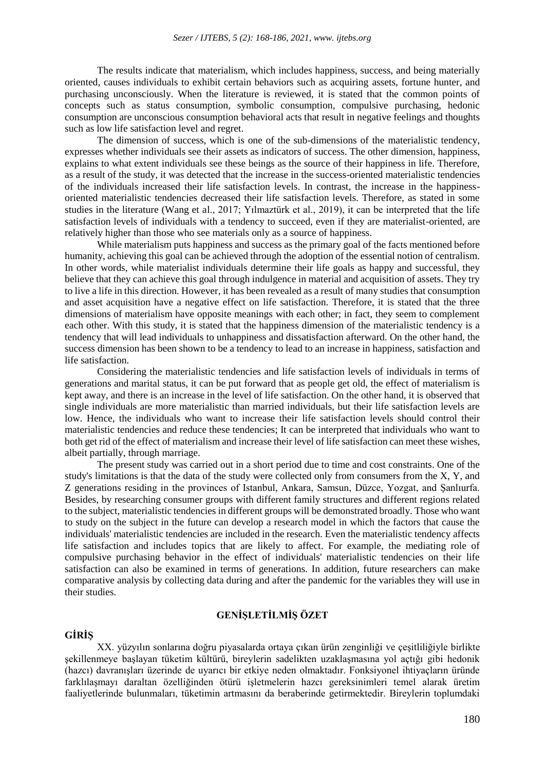The results indicate that materialism, which includes happiness, success, and being materially oriented, causes individuals to exhibit certain behaviors such as acquiring assets, fortune hunter, and purchasing unconsciously. When the literature is reviewed, it is stated that the common points of concepts such as status consumption, symbolic consumption, compulsive purchasing, hedonic consumption are unconscious consumption behavioral acts that result in negative feelings and thoughts such as low life satisfaction level and regret.

The dimension of success, which is one of the sub-dimensions of the materialistic tendency, expresses whether individuals see their assets as indicators of success. The other dimension, happiness, explains to what extent individuals see these beings as the source of their happiness in life. Therefore, as a result of the study, it was detected that the increase in the success-oriented materialistic tendencies of the individuals increased their life satisfaction levels. In contrast, the increase in the happinessoriented materialistic tendencies decreased their life satisfaction levels. Therefore, as stated in some studies in the literature (Wang et al., 2017; Yılmaztürk et al., 2019), it can be interpreted that the life satisfaction levels of individuals with a tendency to succeed, even if they are materialist-oriented, are relatively higher than those who see materials only as a source of happiness.

While materialism puts happiness and success as the primary goal of the facts mentioned before humanity, achieving this goal can be achieved through the adoption of the essential notion of centralism. In other words, while materialist individuals determine their life goals as happy and successful, they believe that they can achieve this goal through indulgence in material and acquisition of assets. They try to live a life in this direction. However, it has been revealed as a result of many studies that consumption and asset acquisition have a negative effect on life satisfaction. Therefore, it is stated that the three dimensions of materialism have opposite meanings with each other; in fact, they seem to complement each other. With this study, it is stated that the happiness dimension of the materialistic tendency is a tendency that will lead individuals to unhappiness and dissatisfaction afterward. On the other hand, the success dimension has been shown to be a tendency to lead to an increase in happiness, satisfaction and life satisfaction.

Considering the materialistic tendencies and life satisfaction levels of individuals in terms of generations and marital status, it can be put forward that as people get old, the effect of materialism is kept away, and there is an increase in the level of life satisfaction. On the other hand, it is observed that single individuals are more materialistic than married individuals, but their life satisfaction levels are low. Hence, the individuals who want to increase their life satisfaction levels should control their materialistic tendencies and reduce these tendencies; It can be interpreted that individuals who want to both get rid of the effect of materialism and increase their level of life satisfaction can meet these wishes, albeit partially, through marriage.

The present study was carried out in a short period due to time and cost constraints. One of the study's limitations is that the data of the study were collected only from consumers from the X, Y, and Z generations residing in the provinces of Istanbul, Ankara, Samsun, Düzce, Yozgat, and Şanlıurfa. Besides, by researching consumer groups with different family structures and different regions related to the subject, materialistic tendencies in different groups will be demonstrated broadly. Those who want to study on the subject in the future can develop a research model in which the factors that cause the individuals' materialistic tendencies are included in the research. Even the materialistic tendency affects life satisfaction and includes topics that are likely to affect. For example, the mediating role of compulsive purchasing behavior in the effect of individuals' materialistic tendencies on their life satisfaction can also be examined in terms of generations. In addition, future researchers can make comparative analysis by collecting data during and after the pandemic for the variables they will use in their studies.

# **GENİŞLETİLMİŞ ÖZET**

#### **GİRİŞ**

XX. yüzyılın sonlarına doğru piyasalarda ortaya çıkan ürün zenginliği ve çeşitliliğiyle birlikte şekillenmeye başlayan tüketim kültürü, bireylerin sadelikten uzaklaşmasına yol açtığı gibi hedonik (hazcı) davranışları üzerinde de uyarıcı bir etkiye neden olmaktadır. Fonksiyonel ihtiyaçların üründe farklılaşmayı daraltan özelliğinden ötürü işletmelerin hazcı gereksinimleri temel alarak üretim faaliyetlerinde bulunmaları, tüketimin artmasını da beraberinde getirmektedir. Bireylerin toplumdaki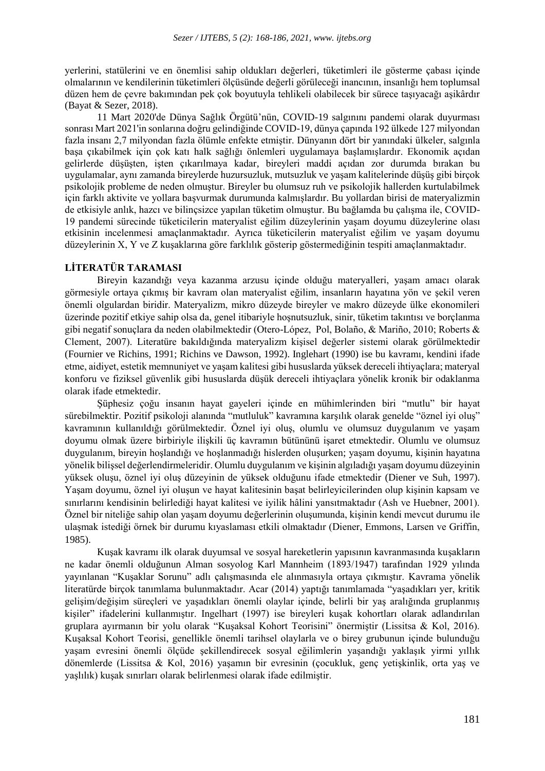yerlerini, statülerini ve en önemlisi sahip oldukları değerleri, tüketimleri ile gösterme çabası içinde olmalarının ve kendilerinin tüketimleri ölçüsünde değerli görüleceği inancının, insanlığı hem toplumsal düzen hem de çevre bakımından pek çok boyutuyla tehlikeli olabilecek bir sürece taşıyacağı aşikârdır (Bayat & Sezer, 2018).

11 Mart 2020'de Dünya Sağlık Örgütü'nün, COVID-19 salgınını pandemi olarak duyurması sonrası Mart 2021'in sonlarına doğru gelindiğinde COVID-19, dünya çapında 192 ülkede 127 milyondan fazla insanı 2,7 milyondan fazla ölümle enfekte etmiştir. Dünyanın dört bir yanındaki ülkeler, salgınla başa çıkabilmek için çok katı halk sağlığı önlemleri uygulamaya başlamışlardır. Ekonomik açıdan gelirlerde düşüşten, işten çıkarılmaya kadar, bireyleri maddi açıdan zor durumda bırakan bu uygulamalar, aynı zamanda bireylerde huzursuzluk, mutsuzluk ve yaşam kalitelerinde düşüş gibi birçok psikolojik probleme de neden olmuştur. Bireyler bu olumsuz ruh ve psikolojik hallerden kurtulabilmek için farklı aktivite ve yollara başvurmak durumunda kalmışlardır. Bu yollardan birisi de materyalizmin de etkisiyle anlık, hazcı ve bilinçsizce yapılan tüketim olmuştur. Bu bağlamda bu çalışma ile, COVID-19 pandemi sürecinde tüketicilerin materyalist eğilim düzeylerinin yaşam doyumu düzeylerine olası etkisinin incelenmesi amaçlanmaktadır. Ayrıca tüketicilerin materyalist eğilim ve yaşam doyumu düzeylerinin X, Y ve Z kuşaklarına göre farklılık gösterip göstermediğinin tespiti amaçlanmaktadır.

## **LİTERATÜR TARAMASI**

Bireyin kazandığı veya kazanma arzusu içinde olduğu materyalleri, yaşam amacı olarak görmesiyle ortaya çıkmış bir kavram olan materyalist eğilim, insanların hayatına yön ve şekil veren önemli olgulardan biridir. Materyalizm, mikro düzeyde bireyler ve makro düzeyde ülke ekonomileri üzerinde pozitif etkiye sahip olsa da, genel itibariyle hoşnutsuzluk, sinir, tüketim takıntısı ve borçlanma gibi negatif sonuçlara da neden olabilmektedir (Otero-López, Pol, Bolaño, & Mariño, 2010; Roberts & Clement, 2007). Literatüre bakıldığında materyalizm kişisel değerler sistemi olarak görülmektedir (Fournier ve Richins, 1991; Richins ve Dawson, 1992). Inglehart (1990) ise bu kavramı, kendini ifade etme, aidiyet, estetik memnuniyet ve yaşam kalitesi gibi hususlarda yüksek dereceli ihtiyaçlara; materyal konforu ve fiziksel güvenlik gibi hususlarda düşük dereceli ihtiyaçlara yönelik kronik bir odaklanma olarak ifade etmektedir.

Şüphesiz çoğu insanın hayat gayeleri içinde en mühimlerinden biri "mutlu" bir hayat sürebilmektir. Pozitif psikoloji alanında "mutluluk" kavramına karşılık olarak genelde "öznel iyi oluş" kavramının kullanıldığı görülmektedir. Öznel iyi oluş, olumlu ve olumsuz duygulanım ve yaşam doyumu olmak üzere birbiriyle ilişkili üç kavramın bütününü işaret etmektedir. Olumlu ve olumsuz duygulanım, bireyin hoşlandığı ve hoşlanmadığı hislerden oluşurken; yaşam doyumu, kişinin hayatına yönelik bilişsel değerlendirmeleridir. Olumlu duygulanım ve kişinin algıladığı yaşam doyumu düzeyinin yüksek oluşu, öznel iyi oluş düzeyinin de yüksek olduğunu ifade etmektedir (Diener ve Suh, 1997). Yaşam doyumu, öznel iyi oluşun ve hayat kalitesinin başat belirleyicilerinden olup kişinin kapsam ve sınırlarını kendisinin belirlediği hayat kalitesi ve iyilik hâlini yansıtmaktadır (Ash ve Huebner, 2001). Öznel bir niteliğe sahip olan yaşam doyumu değerlerinin oluşumunda, kişinin kendi mevcut durumu ile ulaşmak istediği örnek bir durumu kıyaslaması etkili olmaktadır (Diener, Emmons, Larsen ve Griffin, 1985).

Kuşak kavramı ilk olarak duyumsal ve sosyal hareketlerin yapısının kavranmasında kuşakların ne kadar önemli olduğunun Alman sosyolog Karl Mannheim (1893/1947) tarafından 1929 yılında yayınlanan "Kuşaklar Sorunu" adlı çalışmasında ele alınmasıyla ortaya çıkmıştır. Kavrama yönelik literatürde birçok tanımlama bulunmaktadır. Acar (2014) yaptığı tanımlamada "yaşadıkları yer, kritik gelişim/değişim süreçleri ve yaşadıkları önemli olaylar içinde, belirli bir yaş aralığında gruplanmış kişiler" ifadelerini kullanmıştır. Ingelhart (1997) ise bireyleri kuşak kohortları olarak adlandırılan gruplara ayırmanın bir yolu olarak "Kuşaksal Kohort Teorisini" önermiştir (Lissitsa & Kol, 2016). Kuşaksal Kohort Teorisi, genellikle önemli tarihsel olaylarla ve o birey grubunun içinde bulunduğu yaşam evresini önemli ölçüde şekillendirecek sosyal eğilimlerin yaşandığı yaklaşık yirmi yıllık dönemlerde (Lissitsa & Kol, 2016) yaşamın bir evresinin (çocukluk, genç yetişkinlik, orta yaş ve yaşlılık) kuşak sınırları olarak belirlenmesi olarak ifade edilmiştir.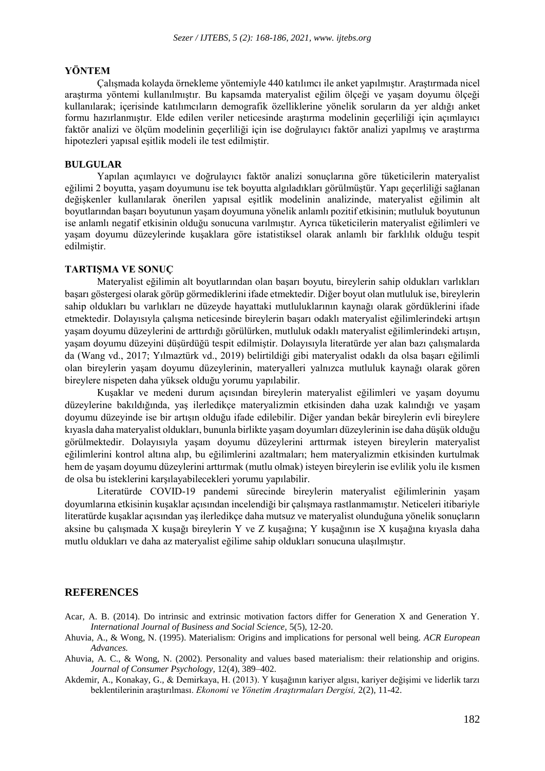# **YÖNTEM**

Çalışmada kolayda örnekleme yöntemiyle 440 katılımcı ile anket yapılmıştır. Araştırmada nicel araştırma yöntemi kullanılmıştır. Bu kapsamda materyalist eğilim ölçeği ve yaşam doyumu ölçeği kullanılarak; içerisinde katılımcıların demografik özelliklerine yönelik soruların da yer aldığı anket formu hazırlanmıştır. Elde edilen veriler neticesinde araştırma modelinin geçerliliği için açımlayıcı faktör analizi ve ölçüm modelinin geçerliliği için ise doğrulayıcı faktör analizi yapılmış ve araştırma hipotezleri yapısal eşitlik modeli ile test edilmiştir.

#### **BULGULAR**

Yapılan açımlayıcı ve doğrulayıcı faktör analizi sonuçlarına göre tüketicilerin materyalist eğilimi 2 boyutta, yaşam doyumunu ise tek boyutta algıladıkları görülmüştür. Yapı geçerliliği sağlanan değişkenler kullanılarak önerilen yapısal eşitlik modelinin analizinde, materyalist eğilimin alt boyutlarından başarı boyutunun yaşam doyumuna yönelik anlamlı pozitif etkisinin; mutluluk boyutunun ise anlamlı negatif etkisinin olduğu sonucuna varılmıştır. Ayrıca tüketicilerin materyalist eğilimleri ve yaşam doyumu düzeylerinde kuşaklara göre istatistiksel olarak anlamlı bir farklılık olduğu tespit edilmiştir.

## **TARTIŞMA VE SONUÇ**

Materyalist eğilimin alt boyutlarından olan başarı boyutu, bireylerin sahip oldukları varlıkları başarı göstergesi olarak görüp görmediklerini ifade etmektedir. Diğer boyut olan mutluluk ise, bireylerin sahip oldukları bu varlıkları ne düzeyde hayattaki mutluluklarının kaynağı olarak gördüklerini ifade etmektedir. Dolayısıyla çalışma neticesinde bireylerin başarı odaklı materyalist eğilimlerindeki artışın yaşam doyumu düzeylerini de arttırdığı görülürken, mutluluk odaklı materyalist eğilimlerindeki artışın, yaşam doyumu düzeyini düşürdüğü tespit edilmiştir. Dolayısıyla literatürde yer alan bazı çalışmalarda da (Wang vd., 2017; Yılmaztürk vd., 2019) belirtildiği gibi materyalist odaklı da olsa başarı eğilimli olan bireylerin yaşam doyumu düzeylerinin, materyalleri yalnızca mutluluk kaynağı olarak gören bireylere nispeten daha yüksek olduğu yorumu yapılabilir.

Kuşaklar ve medeni durum açısından bireylerin materyalist eğilimleri ve yaşam doyumu düzeylerine bakıldığında, yaş ilerledikçe materyalizmin etkisinden daha uzak kalındığı ve yaşam doyumu düzeyinde ise bir artışın olduğu ifade edilebilir. Diğer yandan bekâr bireylerin evli bireylere kıyasla daha materyalist oldukları, bununla birlikte yaşam doyumları düzeylerinin ise daha düşük olduğu görülmektedir. Dolayısıyla yaşam doyumu düzeylerini arttırmak isteyen bireylerin materyalist eğilimlerini kontrol altına alıp, bu eğilimlerini azaltmaları; hem materyalizmin etkisinden kurtulmak hem de yaşam doyumu düzeylerini arttırmak (mutlu olmak) isteyen bireylerin ise evlilik yolu ile kısmen de olsa bu isteklerini karşılayabilecekleri yorumu yapılabilir.

Literatürde COVID-19 pandemi sürecinde bireylerin materyalist eğilimlerinin yaşam doyumlarına etkisinin kuşaklar açısından incelendiği bir çalışmaya rastlanmamıştır. Neticeleri itibariyle literatürde kuşaklar açısından yaş ilerledikçe daha mutsuz ve materyalist olunduğuna yönelik sonuçların aksine bu çalışmada X kuşağı bireylerin Y ve Z kuşağına; Y kuşağının ise X kuşağına kıyasla daha mutlu oldukları ve daha az materyalist eğilime sahip oldukları sonucuna ulaşılmıştır.

# **REFERENCES**

- Acar, A. B. (2014). Do intrinsic and extrinsic motivation factors differ for Generation X and Generation Y. *International Journal of Business and Social Science,* 5(5), 12-20.
- Ahuvia, A., & Wong, N. (1995). Materialism: Origins and implications for personal well being. *ACR European Advances.*
- Ahuvia, A. C., & Wong, N. (2002). Personality and values based materialism: their relationship and origins. *Journal of Consumer Psychology,* 12(4), 389–402.
- Akdemir, A., Konakay, G., & Demirkaya, H. (2013). Y kuşağının kariyer algısı, kariyer değişimi ve liderlik tarzı beklentilerinin araştırılması. *Ekonomi ve Yönetim Araştırmaları Dergisi,* 2(2), 11-42.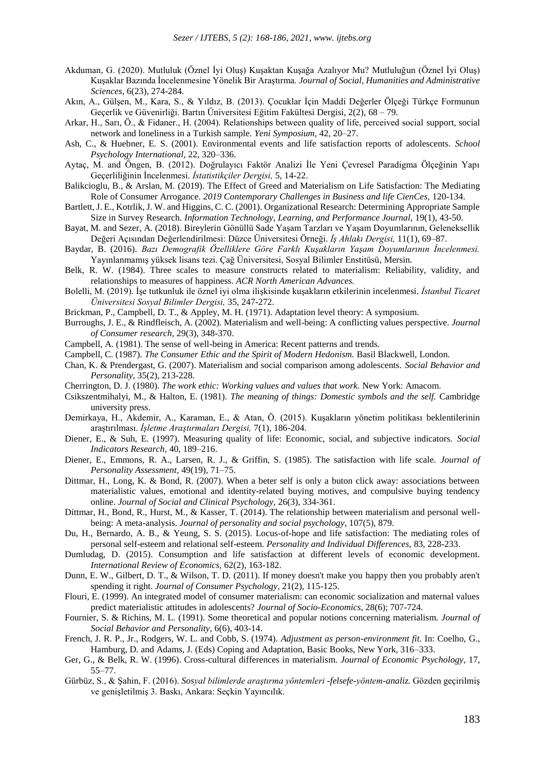- Akduman, G. (2020). Mutluluk (Öznel İyi Oluş) Kuşaktan Kuşağa Azalıyor Mu? Mutluluğun (Öznel İyi Oluş) Kuşaklar Bazında İncelenmesine Yönelik Bir Araştırma. *Journal of Social, Humanities and Administrative Sciences,* 6(23), 274-284.
- Akın, A., Gülşen, M., Kara, S., & Yıldız, B. (2013). Çocuklar İçin Maddi Değerler Ölçeği Türkçe Formunun Geçerlik ve Güvenirliği. Bartın Üniversitesi Eğitim Fakültesi Dergisi, 2(2), 68 – 79.
- Arkar, H., Sarı, Ö., & Fidaner., H. (2004). Relationships between quality of life, perceived social support, social network and loneliness in a Turkish sample. *Yeni Symposium,* 42, 20–27.
- Ash, C., & Huebner, E. S. (2001). Environmental events and life satisfaction reports of adolescents. *School Psychology International,* 22, 320–336.
- Aytaç, M. and Öngen, B. (2012). Doğrulayıcı Faktör Analizi İle Yeni Çevresel Paradigma Ölçeğinin Yapı Geçerliliğinin İncelenmesi. *İstatistikçiler Dergisi,* 5, 14-22.
- Balikcioglu, B., & Arslan, M. (2019). The Effect of Greed and Materialism on Life Satisfaction: The Mediating Role of Consumer Arrogance. *2019 Contemporary Challenges in Business and life CienCes,* 120-134.
- Bartlett, J. E., Kotrlik, J. W. and Higgins, C. C. (2001). Organizational Research: Determining Appropriate Sample Size in Survey Research. *Information Technology, Learning, and Performance Journal,* 19(1), 43-50.
- Bayat, M. and Sezer, A. (2018). Bireylerin Gönüllü Sade Yaşam Tarzları ve Yaşam Doyumlarının, Geleneksellik Değeri Açısından Değerlendirilmesi: Düzce Üniversitesi Örneği. *İş Ahlakı Dergisi,* 11(1), 69–87.
- Baydar, B. (2016). *Bazı Demografik Özelliklere Göre Farklı Kuşakların Yaşam Doyumlarının İncelenmesi.* Yayınlanmamış yüksek lisans tezi. Çağ Üniversitesi, Sosyal Bilimler Enstitüsü, Mersin.
- Belk, R. W. (1984). Three scales to measure constructs related to materialism: Reliability, validity, and relationships to measures of happiness. *ACR North American Advances.*
- Bolelli, M. (2019). İşe tutkunluk ile öznel iyi olma ilişkisinde kuşakların etkilerinin incelenmesi. *İstanbul Ticaret Üniversitesi Sosyal Bilimler Dergisi,* 35, 247-272.
- Brickman, P., Campbell, D. T., & Appley, M. H. (1971). Adaptation level theory: A symposium.
- Burroughs, J. E., & Rindfleisch, A. (2002). Materialism and well-being: A conflicting values perspective. *Journal of Consumer research,* 29(3), 348-370.
- Campbell, A. (1981). The sense of well-being in America: Recent patterns and trends.
- Campbell, C. (1987). *The Consumer Ethic and the Spirit of Modern Hedonism.* Basil Blackwell, London.
- Chan, K. & Prendergast, G. (2007). Materialism and social comparison among adolescents. *Social Behavior and Personality,* 35(2), 213-228.
- Cherrington, D. J. (1980). *The work ethic: Working values and values that work.* New York: Amacom.
- Csikszentmihalyi, M., & Halton, E. (1981). *The meaning of things: Domestic symbols and the self.* Cambridge university press.
- Demirkaya, H., Akdemir, A., Karaman, E., & Atan, Ö. (2015). Kuşakların yönetim politikası beklentilerinin araştırılması. *İşletme Araştırmaları Dergisi,* 7(1), 186-204.
- Diener, E., & Suh, E. (1997). Measuring quality of life: Economic, social, and subjective indicators. *Social Indicators Research,* 40, 189–216.
- Diener, E., Emmons, R. A., Larsen, R. J., & Griffin, S. (1985). The satisfaction with life scale. *Journal of Personality Assessment,* 49(19), 71–75.
- Dittmar, H., Long, K. & Bond, R. (2007). When a beter self is only a buton click away: associations between materialistic values, emotional and identity-related buying motives, and compulsive buying tendency online. *Journal of Social and Clinical Psychology,* 26(3), 334-361.
- Dittmar, H., Bond, R., Hurst, M., & Kasser, T. (2014). The relationship between materialism and personal wellbeing: A meta-analysis. *Journal of personality and social psychology,* 107(5), 879.
- Du, H., Bernardo, A. B., & Yeung, S. S. (2015). Locus-of-hope and life satisfaction: The mediating roles of personal self-esteem and relational self-esteem. *Personality and Individual Differences,* 83, 228-233.
- Dumludag, D. (2015). Consumption and life satisfaction at different levels of economic development. *International Review of Economics,* 62(2), 163-182.
- Dunn, E. W., Gilbert, D. T., & Wilson, T. D. (2011). If money doesn't make you happy then you probably aren't spending it right. *Journal of Consumer Psychology,* 21(2), 115-125.
- Flouri, E. (1999). An integrated model of consumer materialism: can economic socialization and maternal values predict materialistic attitudes in adolescents? *Journal of Socio-Economics,* 28(6); 707-724.
- Fournier, S. & Richins, M. L. (1991). Some theoretical and popular notions concerning materialism. *Journal of Social Behavior and Personality*, 6(6), 403-14.
- French, J. R. P., Jr., Rodgers, W. L. and Cobb, S. (1974). *Adjustment as person-environment fit.* In: Coelho, G., Hamburg, D. and Adams, J. (Eds) Coping and Adaptation, Basic Books, New York, 316–333.
- Ger, G., & Belk, R. W. (1996). Cross-cultural differences in materialism. *Journal of Economic Psychology,* 17, 55–77.
- Gürbüz, S., & Şahin, F. (2016). *Sosyal bilimlerde araştırma yöntemleri -felsefe-yöntem-analiz.* Gözden geçirilmiş ve genişletilmiş 3. Baskı, Ankara: Seçkin Yayıncılık.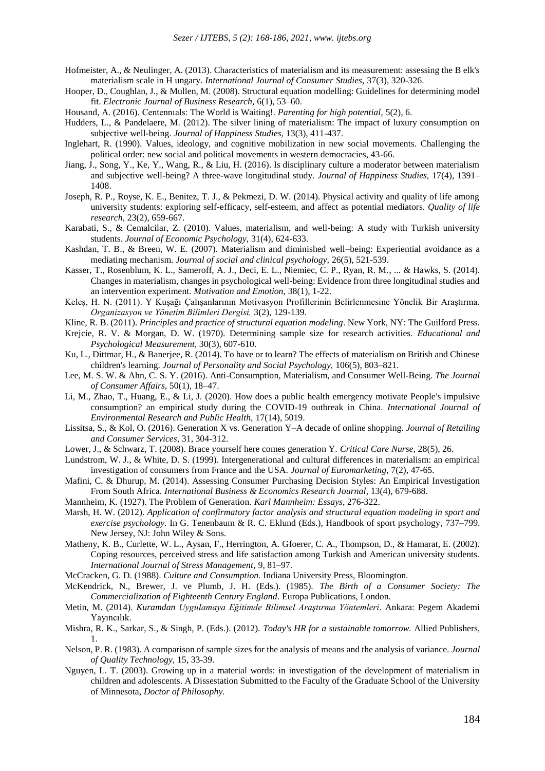- Hofmeister, A., & Neulinger, A. (2013). Characteristics of materialism and its measurement: assessing the B elk's materialism scale in H ungary. *International Journal of Consumer Studies,* 37(3), 320-326.
- Hooper, D., Coughlan, J., & Mullen, M. (2008). Structural equation modelling: Guidelines for determining model fit. *Electronic Journal of Business Research,* 6(1), 53–60.
- Housand, A. (2016). Centennıals: The World is Waiting!. *Parenting for high potential,* 5(2), 6.
- Hudders, L., & Pandelaere, M. (2012). The silver lining of materialism: The impact of luxury consumption on subjective well-being. *Journal of Happiness Studies,* 13(3), 411-437.
- Inglehart, R. (1990). Values, ideology, and cognitive mobilization in new social movements. Challenging the political order: new social and political movements in western democracies, 43-66.
- Jiang, J., Song, Y., Ke, Y., Wang, R., & Liu, H. (2016). Is disciplinary culture a moderator between materialism and subjective well-being? A three-wave longitudinal study. *Journal of Happiness Studies,* 17(4), 1391– 1408.
- Joseph, R. P., Royse, K. E., Benitez, T. J., & Pekmezi, D. W. (2014). Physical activity and quality of life among university students: exploring self-efficacy, self-esteem, and affect as potential mediators. *Quality of life research,* 23(2), 659-667.
- Karabati, S., & Cemalcilar, Z. (2010). Values, materialism, and well-being: A study with Turkish university students. *Journal of Economic Psychology,* 31(4), 624-633.
- Kashdan, T. B., & Breen, W. E. (2007). Materialism and diminished well–being: Experiential avoidance as a mediating mechanism. *Journal of social and clinical psychology,* 26(5), 521-539.
- Kasser, T., Rosenblum, K. L., Sameroff, A. J., Deci, E. L., Niemiec, C. P., Ryan, R. M., ... & Hawks, S. (2014). Changes in materialism, changes in psychological well-being: Evidence from three longitudinal studies and an intervention experiment. *Motivation and Emotion,* 38(1), 1-22.
- Keleş, H. N. (2011). Y Kuşağı Çalışanlarının Motivasyon Profillerinin Belirlenmesine Yönelik Bir Araştırma. *Organizasyon ve Yönetim Bilimleri Dergisi,* 3(2), 129-139.
- Kline, R. B. (2011). *Principles and practice of structural equation modeling*. New York, NY: The Guilford Press.
- Krejcie, R. V. & Morgan, D. W. (1970). Determining sample size for research activities. *Educational and Psychological Measurement,* 30(3), 607-610.
- Ku, L., Dittmar, H., & Banerjee, R. (2014). To have or to learn? The effects of materialism on British and Chinese children's learning. *Journal of Personality and Social Psychology,* 106(5), 803–821.
- Lee, M. S. W. & Ahn, C. S. Y. (2016). Anti-Consumption, Materialism, and Consumer Well-Being. *The Journal of Consumer Affairs,* 50(1), 18–47.
- Li, M., Zhao, T., Huang, E., & Li, J. (2020). How does a public health emergency motivate People's impulsive consumption? an empirical study during the COVID-19 outbreak in China. *International Journal of Environmental Research and Public Health,* 17(14), 5019.
- Lissitsa, S., & Kol, O. (2016). Generation X vs. Generation Y–A decade of online shopping. *Journal of Retailing and Consumer Services,* 31, 304-312.
- Lower, J., & Schwarz, T. (2008). Brace yourself here comes generation Y. *Critical Care Nurse,* 28(5), 26.
- Lundstrom, W. J., & White, D. S. (1999). Intergenerational and cultural differences in materialism: an empirical investigation of consumers from France and the USA. *Journal of Euromarketing,* 7(2), 47-65.
- Mafini, C. & Dhurup, M. (2014). Assessing Consumer Purchasing Decision Styles: An Empirical Investigation From South Africa. *International Business & Economics Research Journal,* 13(4), 679-688.
- Mannheim, K. (1927). The Problem of Generation. *Karl Mannheim: Essays,* 276-322.
- Marsh, H. W. (2012). *Application of confirmatory factor analysis and structural equation modeling in sport and exercise psychology.* In G. Tenenbaum & R. C. Eklund (Eds.), Handbook of sport psychology, 737–799. New Jersey, NJ: John Wiley & Sons.
- Matheny, K. B., Curlette, W. L., Aysan, F., Herrington, A. Gfoerer, C. A., Thompson, D., & Hamarat, E. (2002). Coping resources, perceived stress and life satisfaction among Turkish and American university students. *International Journal of Stress Management,* 9, 81–97.
- McCracken, G. D. (1988). *Culture and Consumption.* Indiana University Press, Bloomington.
- McKendrick, N., Brewer, J. ve Plumb, J. H. (Eds.). (1985). *The Birth of a Consumer Society: The Commercialization of Eighteenth Century England*. Europa Publications, London.
- Metin, M. (2014). *Kuramdan Uygulamaya Eğitimde Bilimsel Araştırma Yöntemleri*. Ankara: Pegem Akademi Yayıncılık.
- Mishra, R. K., Sarkar, S., & Singh, P. (Eds.). (2012). *Today's HR for a sustainable tomorrow.* Allied Publishers, 1.
- Nelson, P. R. (1983). A comparison of sample sizes for the analysis of means and the analysis of variance. *Journal of Quality Technology,* 15, 33-39.
- Nguyen, L. T. (2003). Growing up in a material words: in investigation of the development of materialism in children and adolescents. A Dissestation Submitted to the Faculty of the Graduate School of the University of Minnesota, *Doctor of Philosophy.*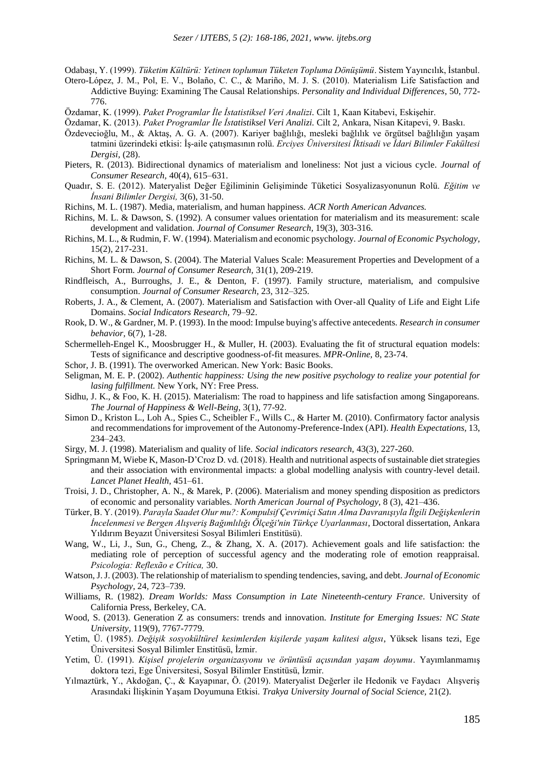Odabaşı, Y. (1999). *Tüketim Kültürü: Yetinen toplumun Tüketen Topluma Dönüşümü*. Sistem Yayıncılık, İstanbul.

- Otero-López, J. M., Pol, E. V., Bolaño, C. C., & Mariño, M. J. S. (2010). Materialism Life Satisfaction and Addictive Buying: Examining The Causal Relationships. *Personality and Individual Differences*, 50, 772- 776.
- Özdamar, K. (1999). *Paket Programlar İle İstatistiksel Veri Analizi.* Cilt 1, Kaan Kitabevi, Eskişehir.
- Özdamar, K. (2013). *Paket Programlar İle İstatistiksel Veri Analizi.* Cilt 2, Ankara, Nisan Kitapevi, 9. Baskı.
- Özdevecioğlu, M., & Aktaş, A. G. A. (2007). Kariyer bağlılığı, mesleki bağlılık ve örgütsel bağlılığın yaşam tatmini üzerindeki etkisi: İş-aile çatışmasının rolü. *Erciyes Üniversitesi İktisadi ve İdari Bilimler Fakültesi Dergisi,* (28).
- Pieters, R. (2013). Bidirectional dynamics of materialism and loneliness: Not just a vicious cycle. *Journal of Consumer Research,* 40(4), 615–631.
- Quadır, S. E. (2012). Materyalist Değer Eğiliminin Gelişiminde Tüketici Sosyalizasyonunun Rolü. *Eğitim ve İnsani Bilimler Dergisi,* 3(6), 31-50.
- Richins, M. L. (1987). Media, materialism, and human happiness. *ACR North American Advances.*
- Richins, M. L. & Dawson, S. (1992). A consumer values orientation for materialism and its measurement: scale development and validation. *Journal of Consumer Research,* 19(3), 303-316.
- Richins, M. L., & Rudmin, F. W. (1994). Materialism and economic psychology. *Journal of Economic Psychology,* 15(2), 217-231.
- Richins, M. L. & Dawson, S. (2004). The Material Values Scale: Measurement Properties and Development of a Short Form. *Journal of Consumer Research,* 31(1), 209-219.
- Rindfleisch, A., Burroughs, J. E., & Denton, F. (1997). Family structure, materialism, and compulsive consumption. *Journal of Consumer Research,* 23, 312–325.
- Roberts, J. A., & Clement, A. (2007). Materialism and Satisfaction with Over-all Quality of Life and Eight Life Domains. *Social Indicators Research,* 79–92.
- Rook, D. W., & Gardner, M. P. (1993). In the mood: Impulse buying's affective antecedents. *Research in consumer behavior,* 6(7), 1-28.
- Schermelleh-Engel K., Moosbrugger H., & Muller, H. (2003). Evaluating the fit of structural equation models: Tests of significance and descriptive goodness-of-fit measures. *MPR-Online,* 8, 23-74.
- Schor, J. B. (1991). The overworked American. New York: Basic Books.
- Seligman, M. E. P. (2002). *Authentic happiness: Using the new positive psychology to realize your potential for lasing fulfillment.* New York, NY: Free Press.
- Sidhu, J. K., & Foo, K. H. (2015). Materialism: The road to happiness and life satisfaction among Singaporeans. *The Journal of Happiness & Well-Being,* 3(1), 77-92.
- Simon D., Kriston L., Loh A., Spies C., Scheibler F., Wills C., & Harter M. (2010). Confirmatory factor analysis and recommendations for improvement of the Autonomy-Preference-Index (API). *Health Expectations,* 13, 234–243.
- Sirgy, M. J. (1998). Materialism and quality of life. *Social indicators research,* 43(3), 227-260.
- Springmann M, Wiebe K, Mason-D'Croz D. vd. (2018). Health and nutritional aspects of sustainable diet strategies and their association with environmental impacts: a global modelling analysis with country-level detail. *Lancet Planet Health,* 451–61.
- Troisi, J. D., Christopher, A. N., & Marek, P. (2006). Materialism and money spending disposition as predictors of economic and personality variables. *North American Journal of Psychology,* 8 (3), 421–436.
- Türker, B. Y. (2019). *Parayla Saadet Olur mu?: Kompulsif Çevrimiçi Satın Alma Davranışıyla İlgili Değişkenlerin İncelenmesi ve Bergen Alışveriş Bağımlılığı Ölçeği'nin Türkçe Uyarlanması*, Doctoral dissertation, Ankara Yıldırım Beyazıt Üniversitesi Sosyal Bilimleri Enstitüsü).
- Wang, W., Li, J., Sun, G., Cheng, Z., & Zhang, X. A. (2017). Achievement goals and life satisfaction: the mediating role of perception of successful agency and the moderating role of emotion reappraisal. *Psicologia: Reflexão e Crítica,* 30.
- Watson, J. J. (2003). The relationship of materialism to spending tendencies, saving, and debt. *Journal of Economic Psychology,* 24, 723–739.
- Williams, R. (1982). *Dream Worlds: Mass Consumption in Late Nineteenth-century France*. University of California Press, Berkeley, CA.
- Wood, S. (2013). Generation Z as consumers: trends and innovation. *Institute for Emerging Issues: NC State University,* 119(9), 7767-7779.
- Yetim, Ü. (1985). *Değişik sosyokültürel kesimlerden kişilerde yaşam kalitesi algısı*, Yüksek lisans tezi, Ege Üniversitesi Sosyal Bilimler Enstitüsü, İzmir.
- Yetim, Ü. (1991). *Kişisel projelerin organizasyonu ve örüntüsü açısından yaşam doyumu*. Yayımlanmamış doktora tezi, Ege Üniversitesi, Sosyal Bilimler Enstitüsü, İzmir.
- Yılmaztürk, Y., Akdoğan, Ç., & Kayapınar, Ö. (2019). Materyalist Değerler ile Hedonik ve Faydacı Alışveriş Arasındaki İlişkinin Yaşam Doyumuna Etkisi. *Trakya University Journal of Social Science,* 21(2).